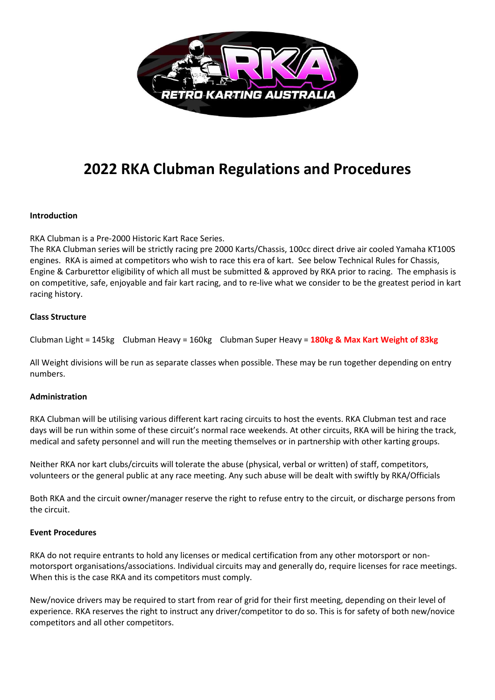

# **2022 RKA Clubman Regulations and Procedures**

#### **Introduction**

RKA Clubman is a Pre-2000 Historic Kart Race Series.

The RKA Clubman series will be strictly racing pre 2000 Karts/Chassis, 100cc direct drive air cooled Yamaha KT100S engines. RKA is aimed at competitors who wish to race this era of kart. See below Technical Rules for Chassis, Engine & Carburettor eligibility of which all must be submitted & approved by RKA prior to racing. The emphasis is on competitive, safe, enjoyable and fair kart racing, and to re-live what we consider to be the greatest period in kart racing history.

## **Class Structure**

Clubman Light = 145kg Clubman Heavy = 160kg Clubman Super Heavy = **180kg & Max Kart Weight of 83kg**

All Weight divisions will be run as separate classes when possible. These may be run together depending on entry numbers.

#### **Administration**

RKA Clubman will be utilising various different kart racing circuits to host the events. RKA Clubman test and race days will be run within some of these circuit's normal race weekends. At other circuits, RKA will be hiring the track, medical and safety personnel and will run the meeting themselves or in partnership with other karting groups.

Neither RKA nor kart clubs/circuits will tolerate the abuse (physical, verbal or written) of staff, competitors, volunteers or the general public at any race meeting. Any such abuse will be dealt with swiftly by RKA/Officials

Both RKA and the circuit owner/manager reserve the right to refuse entry to the circuit, or discharge persons from the circuit.

#### **Event Procedures**

RKA do not require entrants to hold any licenses or medical certification from any other motorsport or nonmotorsport organisations/associations. Individual circuits may and generally do, require licenses for race meetings. When this is the case RKA and its competitors must comply.

New/novice drivers may be required to start from rear of grid for their first meeting, depending on their level of experience. RKA reserves the right to instruct any driver/competitor to do so. This is for safety of both new/novice competitors and all other competitors.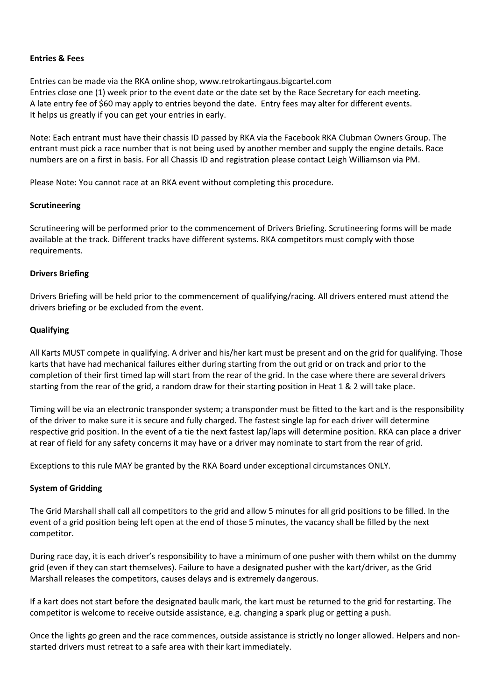## **Entries & Fees**

Entries can be made via the RKA online shop, www.retrokartingaus.bigcartel.com Entries close one (1) week prior to the event date or the date set by the Race Secretary for each meeting. A late entry fee of \$60 may apply to entries beyond the date. Entry fees may alter for different events. It helps us greatly if you can get your entries in early.

Note: Each entrant must have their chassis ID passed by RKA via the Facebook RKA Clubman Owners Group. The entrant must pick a race number that is not being used by another member and supply the engine details. Race numbers are on a first in basis. For all Chassis ID and registration please contact Leigh Williamson via PM.

Please Note: You cannot race at an RKA event without completing this procedure.

#### **Scrutineering**

Scrutineering will be performed prior to the commencement of Drivers Briefing. Scrutineering forms will be made available at the track. Different tracks have different systems. RKA competitors must comply with those requirements.

## **Drivers Briefing**

Drivers Briefing will be held prior to the commencement of qualifying/racing. All drivers entered must attend the drivers briefing or be excluded from the event.

## **Qualifying**

All Karts MUST compete in qualifying. A driver and his/her kart must be present and on the grid for qualifying. Those karts that have had mechanical failures either during starting from the out grid or on track and prior to the completion of their first timed lap will start from the rear of the grid. In the case where there are several drivers starting from the rear of the grid, a random draw for their starting position in Heat 1 & 2 will take place.

Timing will be via an electronic transponder system; a transponder must be fitted to the kart and is the responsibility of the driver to make sure it is secure and fully charged. The fastest single lap for each driver will determine respective grid position. In the event of a tie the next fastest lap/laps will determine position. RKA can place a driver at rear of field for any safety concerns it may have or a driver may nominate to start from the rear of grid.

Exceptions to this rule MAY be granted by the RKA Board under exceptional circumstances ONLY.

# **System of Gridding**

The Grid Marshall shall call all competitors to the grid and allow 5 minutes for all grid positions to be filled. In the event of a grid position being left open at the end of those 5 minutes, the vacancy shall be filled by the next competitor.

During race day, it is each driver's responsibility to have a minimum of one pusher with them whilst on the dummy grid (even if they can start themselves). Failure to have a designated pusher with the kart/driver, as the Grid Marshall releases the competitors, causes delays and is extremely dangerous.

If a kart does not start before the designated baulk mark, the kart must be returned to the grid for restarting. The competitor is welcome to receive outside assistance, e.g. changing a spark plug or getting a push.

Once the lights go green and the race commences, outside assistance is strictly no longer allowed. Helpers and nonstarted drivers must retreat to a safe area with their kart immediately.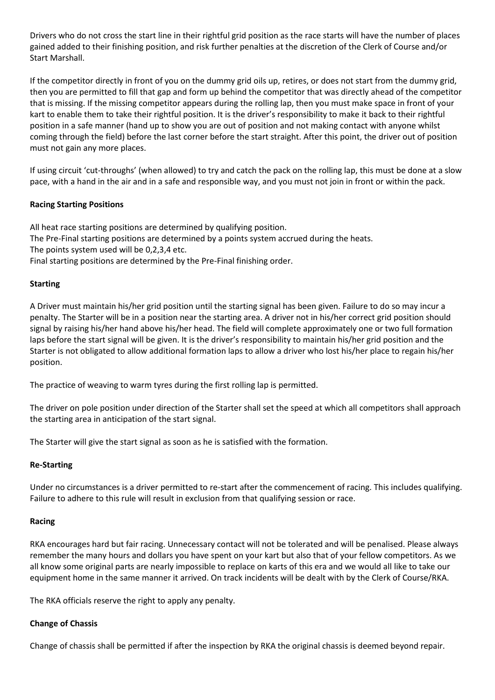Drivers who do not cross the start line in their rightful grid position as the race starts will have the number of places gained added to their finishing position, and risk further penalties at the discretion of the Clerk of Course and/or Start Marshall.

If the competitor directly in front of you on the dummy grid oils up, retires, or does not start from the dummy grid, then you are permitted to fill that gap and form up behind the competitor that was directly ahead of the competitor that is missing. If the missing competitor appears during the rolling lap, then you must make space in front of your kart to enable them to take their rightful position. It is the driver's responsibility to make it back to their rightful position in a safe manner (hand up to show you are out of position and not making contact with anyone whilst coming through the field) before the last corner before the start straight. After this point, the driver out of position must not gain any more places.

If using circuit 'cut-throughs' (when allowed) to try and catch the pack on the rolling lap, this must be done at a slow pace, with a hand in the air and in a safe and responsible way, and you must not join in front or within the pack.

# **Racing Starting Positions**

All heat race starting positions are determined by qualifying position. The Pre-Final starting positions are determined by a points system accrued during the heats. The points system used will be 0,2,3,4 etc. Final starting positions are determined by the Pre-Final finishing order.

## **Starting**

A Driver must maintain his/her grid position until the starting signal has been given. Failure to do so may incur a penalty. The Starter will be in a position near the starting area. A driver not in his/her correct grid position should signal by raising his/her hand above his/her head. The field will complete approximately one or two full formation laps before the start signal will be given. It is the driver's responsibility to maintain his/her grid position and the Starter is not obligated to allow additional formation laps to allow a driver who lost his/her place to regain his/her position.

The practice of weaving to warm tyres during the first rolling lap is permitted.

The driver on pole position under direction of the Starter shall set the speed at which all competitors shall approach the starting area in anticipation of the start signal.

The Starter will give the start signal as soon as he is satisfied with the formation.

#### **Re-Starting**

Under no circumstances is a driver permitted to re-start after the commencement of racing. This includes qualifying. Failure to adhere to this rule will result in exclusion from that qualifying session or race.

#### **Racing**

RKA encourages hard but fair racing. Unnecessary contact will not be tolerated and will be penalised. Please always remember the many hours and dollars you have spent on your kart but also that of your fellow competitors. As we all know some original parts are nearly impossible to replace on karts of this era and we would all like to take our equipment home in the same manner it arrived. On track incidents will be dealt with by the Clerk of Course/RKA.

The RKA officials reserve the right to apply any penalty.

#### **Change of Chassis**

Change of chassis shall be permitted if after the inspection by RKA the original chassis is deemed beyond repair.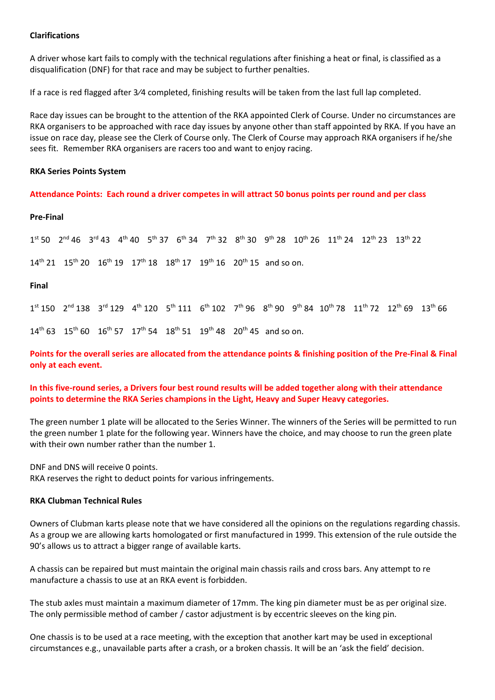#### **Clarifications**

A driver whose kart fails to comply with the technical regulations after finishing a heat or final, is classified as a disqualification (DNF) for that race and may be subject to further penalties.

If a race is red flagged after 3⁄4 completed, finishing results will be taken from the last full lap completed.

Race day issues can be brought to the attention of the RKA appointed Clerk of Course. Under no circumstances are RKA organisers to be approached with race day issues by anyone other than staff appointed by RKA. If you have an issue on race day, please see the Clerk of Course only. The Clerk of Course may approach RKA organisers if he/she sees fit. Remember RKA organisers are racers too and want to enjoy racing.

#### **RKA Series Points System**

**Attendance Points: Each round a driver competes in will attract 50 bonus points per round and per class**

#### **Pre-Final**

 $1^{\text{st}}$  50  $2^{\text{nd}}$  46  $3^{\text{rd}}$  43  $4^{\text{th}}$  40  $5^{\text{th}}$  37  $6^{\text{th}}$  34  $7^{\text{th}}$  32  $8^{\text{th}}$  30  $9^{\text{th}}$  28  $10^{\text{th}}$  26  $11^{\text{th}}$  24  $12^{\text{th}}$  23  $13^{\text{th}}$  22

 $14^{th}$  21  $15^{th}$  20  $16^{th}$  19  $17^{th}$  18  $18^{th}$  17  $19^{th}$  16  $20^{th}$  15 and so on.

**Final**

 $1^{\text{st}}$  150  $2^{\text{nd}}$  138  $3^{\text{rd}}$  129  $4^{\text{th}}$  120  $5^{\text{th}}$  111  $6^{\text{th}}$  102  $7^{\text{th}}$  96  $8^{\text{th}}$  90  $9^{\text{th}}$  84  $10^{\text{th}}$  78  $11^{\text{th}}$  72  $12^{\text{th}}$  69  $13^{\text{th}}$  66

 $14^{th}$  63  $15^{th}$  60  $16^{th}$  57  $17^{th}$  54  $18^{th}$  51  $19^{th}$  48  $20^{th}$  45 and so on.

**Points for the overall series are allocated from the attendance points & finishing position of the Pre-Final & Final only at each event.** 

**In this five-round series, a Drivers four best round results will be added together along with their attendance points to determine the RKA Series champions in the Light, Heavy and Super Heavy categories.** 

The green number 1 plate will be allocated to the Series Winner. The winners of the Series will be permitted to run the green number 1 plate for the following year. Winners have the choice, and may choose to run the green plate with their own number rather than the number 1.

DNF and DNS will receive 0 points.

RKA reserves the right to deduct points for various infringements.

#### **RKA Clubman Technical Rules**

Owners of Clubman karts please note that we have considered all the opinions on the regulations regarding chassis. As a group we are allowing karts homologated or first manufactured in 1999. This extension of the rule outside the 90's allows us to attract a bigger range of available karts.

A chassis can be repaired but must maintain the original main chassis rails and cross bars. Any attempt to re manufacture a chassis to use at an RKA event is forbidden.

The stub axles must maintain a maximum diameter of 17mm. The king pin diameter must be as per original size. The only permissible method of camber / castor adjustment is by eccentric sleeves on the king pin.

One chassis is to be used at a race meeting, with the exception that another kart may be used in exceptional circumstances e.g., unavailable parts after a crash, or a broken chassis. It will be an 'ask the field' decision.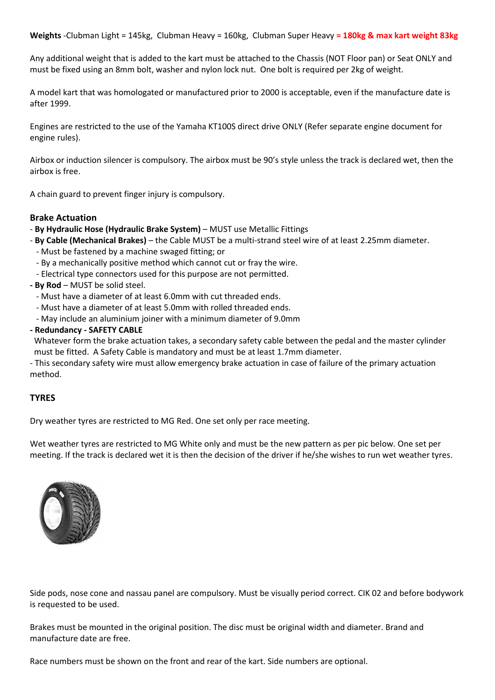**Weights** -Clubman Light = 145kg, Clubman Heavy = 160kg, Clubman Super Heavy **= 180kg & max kart weight 83kg**

Any additional weight that is added to the kart must be attached to the Chassis (NOT Floor pan) or Seat ONLY and must be fixed using an 8mm bolt, washer and nylon lock nut. One bolt is required per 2kg of weight.

A model kart that was homologated or manufactured prior to 2000 is acceptable, even if the manufacture date is after 1999.

Engines are restricted to the use of the Yamaha KT100S direct drive ONLY (Refer separate engine document for engine rules).

Airbox or induction silencer is compulsory. The airbox must be 90's style unless the track is declared wet, then the airbox is free.

A chain guard to prevent finger injury is compulsory.

# **Brake Actuation**

- **By Hydraulic Hose (Hydraulic Brake System)** MUST use Metallic Fittings
- **By Cable (Mechanical Brakes)** the Cable MUST be a multi-strand steel wire of at least 2.25mm diameter.
	- Must be fastened by a machine swaged fitting; or
	- By a mechanically positive method which cannot cut or fray the wire.
	- Electrical type connectors used for this purpose are not permitted.
- **- By Rod** MUST be solid steel.
	- Must have a diameter of at least 6.0mm with cut threaded ends.
	- Must have a diameter of at least 5.0mm with rolled threaded ends.
	- May include an aluminium joiner with a minimum diameter of 9.0mm

#### **- Redundancy - SAFETY CABLE**

 Whatever form the brake actuation takes, a secondary safety cable between the pedal and the master cylinder must be fitted. A Safety Cable is mandatory and must be at least 1.7mm diameter.

- This secondary safety wire must allow emergency brake actuation in case of failure of the primary actuation method.

## **TYRES**

Dry weather tyres are restricted to MG Red. One set only per race meeting.

Wet weather tyres are restricted to MG White only and must be the new pattern as per pic below. One set per meeting. If the track is declared wet it is then the decision of the driver if he/she wishes to run wet weather tyres.



Side pods, nose cone and nassau panel are compulsory. Must be visually period correct. CIK 02 and before bodywork is requested to be used.

Brakes must be mounted in the original position. The disc must be original width and diameter. Brand and manufacture date are free.

Race numbers must be shown on the front and rear of the kart. Side numbers are optional.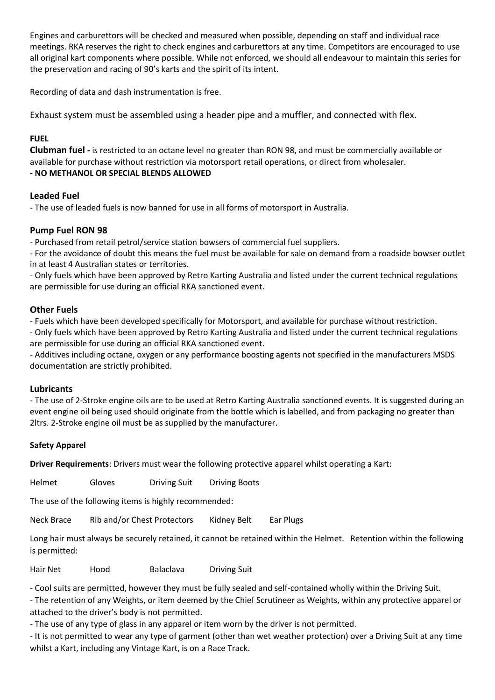Engines and carburettors will be checked and measured when possible, depending on staff and individual race meetings. RKA reserves the right to check engines and carburettors at any time. Competitors are encouraged to use all original kart components where possible. While not enforced, we should all endeavour to maintain this series for the preservation and racing of 90's karts and the spirit of its intent.

Recording of data and dash instrumentation is free.

Exhaust system must be assembled using a header pipe and a muffler, and connected with flex.

# **FUEL**

**Clubman fuel -** is restricted to an octane level no greater than RON 98, and must be commercially available or available for purchase without restriction via motorsport retail operations, or direct from wholesaler. **- NO METHANOL OR SPECIAL BLENDS ALLOWED**

# **Leaded Fuel**

- The use of leaded fuels is now banned for use in all forms of motorsport in Australia.

# **Pump Fuel RON 98**

- Purchased from retail petrol/service station bowsers of commercial fuel suppliers.

- For the avoidance of doubt this means the fuel must be available for sale on demand from a roadside bowser outlet in at least 4 Australian states or territories.

- Only fuels which have been approved by Retro Karting Australia and listed under the current technical regulations are permissible for use during an official RKA sanctioned event.

## **Other Fuels**

- Fuels which have been developed specifically for Motorsport, and available for purchase without restriction.

- Only fuels which have been approved by Retro Karting Australia and listed under the current technical regulations are permissible for use during an official RKA sanctioned event.

- Additives including octane, oxygen or any performance boosting agents not specified in the manufacturers MSDS documentation are strictly prohibited.

# **Lubricants**

- The use of 2-Stroke engine oils are to be used at Retro Karting Australia sanctioned events. It is suggested during an event engine oil being used should originate from the bottle which is labelled, and from packaging no greater than 2ltrs. 2-Stroke engine oil must be as supplied by the manufacturer.

# **Safety Apparel**

**Driver Requirements**: Drivers must wear the following protective apparel whilst operating a Kart:

Helmet Gloves Driving Suit Driving Boots

The use of the following items is highly recommended:

Neck Brace Rib and/or Chest Protectors Kidney Belt Ear Plugs

Long hair must always be securely retained, it cannot be retained within the Helmet. Retention within the following is permitted:

Hair Net Hood Balaclava Driving Suit

- Cool suits are permitted, however they must be fully sealed and self-contained wholly within the Driving Suit.

- The retention of any Weights, or item deemed by the Chief Scrutineer as Weights, within any protective apparel or attached to the driver's body is not permitted.

- The use of any type of glass in any apparel or item worn by the driver is not permitted.

- It is not permitted to wear any type of garment (other than wet weather protection) over a Driving Suit at any time whilst a Kart, including any Vintage Kart, is on a Race Track.